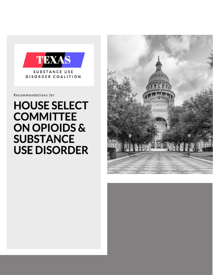

Recommendations for

# **HOUSE SELECT COMMITTEE ON OPIOIDS & SUBSTANCE USE DISORDER**

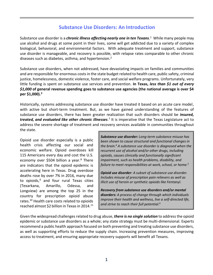# **Substance Use Disorders: An Introduction**

Substance use disorder is a *chronic illness affecting nearly one in ten Texans*. 1 While many people may use alcohol and drugs at some point in their lives, some will get addicted due to a variety of complex biological, behavioral, and environmental factors. With adequate treatment and support, substance use disorder is manageable, and recovery is possible, with relapse rates comparable to other chronic diseases such as diabetes, asthma, and hypertension. $<sup>2</sup>$ </sup>

Substance use disorders, when not addressed, have devastating impacts on families and communities and are responsible for enormous costsin the state budget related to health care, public safety, criminal justice, homelessness, domestic violence, foster care, and social welfare programs. Unfortunately, very little funding is spent on substance use services and prevention. **In Texas,** *less than \$1 out of every \$1,000* **of general revenue spending goes to substance use agencies (the national average is over \$4 per \$1,000).<sup>3</sup>**

Historically, systems addressing substance use disorder have treated it based on an acute care model, with active but short-term treatment. But, as we have gained understanding of the features of substance use disorders, there has been greater realization that such disorders should be *insured,*  treated, and evaluated like other chronic illnesses.<sup>7</sup> It is imperative that the Texas Legislature act to address the severe shortage of treatment and recovery services available in communities throughout the state.

Opioid use disorder especially is a public health crisis affecting our social and economic welfare. Opioid overdoses kill 115 Americans every day and cost the U.S. economy over \$504 billion a year. $8$  There are indicators that the opioid epidemic is accelerating here in Texas. Drug overdose deaths rose by over 7% in 2016, many due to opioids, <sup>9</sup> and four rural Texas cities (Texarkana, Amarillo, Odessa, and Longview) are among the top 25 in the country for prescription opioid abuse rates. <sup>10</sup> Health care costs related to opioids reached almost \$2 billion in Texas in 2014.<sup>11</sup>

*Substance use disorder: Long-term substance misuse has been shown to cause structural and functional changes in the brain.<sup>4</sup> A substance use disorder is diagnosed when the recurrent use of alcohol and/or other drugs, including opioids, causes clinically and functionally significant impairment, such as health problems, disability, and failure to meet responsibilities at work, school, or home.<sup>5</sup>*

*Opioid use disorder: A subset of substance use disorder. Includes misuse of prescription pain relievers as well as illicit use of heroin or synthetic opioids like Fentanyl.*

*Recovery from substance use disorders and/or mental disorders: A process of change through which individuals improve their health and wellness, live a self-directed life, and strive to reach their full potential.<sup>6</sup>*

Given the widespread challenges related to drug abuse, *there is no single solution* to address the opioid epidemic or substance use disorders as a whole; any state strategy must be multi-dimensional. Experts recommend a public health approach focused on both preventing and treating substance use disorders, as well as supporting efforts to reduce the supply chain. Increasing prevention measures, improving access to treatment, and ensuring appropriate recovery supports will benefit all Texans.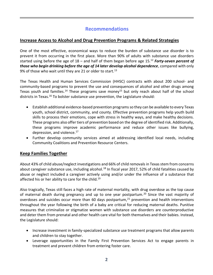# **Recommendations**

## **Increase Access to Alcohol and Drug Prevention Programs & Related Strategies**

One of the most effective, economical ways to reduce the burden of substance use disorder is to prevent it from occurring in the first place. More than 90% of adults with substance use disorders started using before the age of 18 – and half of them began before age 15.<sup>12</sup> *Forty-seven percent of those who begin drinking before the age of 14 later develop alcohol dependence*, compared with only 9% of those who wait until they are 21 or older to start.<sup>13</sup>

The Texas Health and Human Services Commission (HHSC) contracts with about 200 school- and community-based programs to prevent the use and consequences of alcohol and other drugs among Texas youth and families.<sup>14</sup> These programs save money<sup>15</sup> but only reach about half of the school districts in Texas.<sup>16</sup> To bolster substance use prevention, the Legislature should:

- Establish additional evidence-based prevention programs so they can be available to every Texas youth, school district, community, and county. Effective prevention programs help youth build skills to process their emotions, cope with stress in healthy ways, and make healthy decisions. These programs also offer tiers of prevention based on the degree of identified risk. Additionally, these programs improve academic performance and reduce other issues like bullying, depression, and violence.<sup>17</sup>
- Further develop community services aimed at addressing identified local needs, including Community Coalitions and Prevention Resource Centers.

## **Keep Families Together**

About 43% of child abuse/neglect investigations and 66% of child removals in Texas stem from concerns about caregiver substance use, including alcohol.<sup>18</sup> In fiscal year 2017, 52% of child fatalities caused by abuse or neglect included a caregiver actively using and/or under the influence of a substance that affected his or her ability to care for the child.<sup>19</sup>

Also tragically, Texas still faces a high rate of maternal mortality, with drug overdose as the top cause of maternal death during pregnancy and up to one year postpartum.<sup>20</sup> Since the vast majority of overdoses and suicides occur more than 60 days postpartum, $^{21}$  prevention and health interventions throughout the year following the birth of a baby are critical for reducing maternal deaths. Punitive measures that criminalize or stigmatize women with substance use disorders are counterproductive and deter them from prenatal and other health care vital for both themselves and their babies. Instead, the Legislature should:

- Increase investment in family-specialized substance use treatment programs that allow parents and children to stay together.
- Leverage opportunities in the Family First Prevention Services Act to engage parents in treatment and prevent children from entering foster care.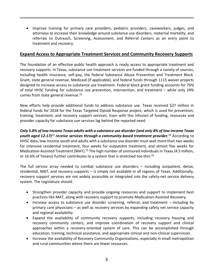• Improve training for primary care providers, pediatric providers, caseworkers, judges, and attorneys to increase their knowledge around substance use disorders, maternal mortality, and referrals to Outreach, Screening, Assessment, and Referral Centers as an entry point to treatment and recovery.

## **Expand Access to Appropriate Treatment Services and Community Recovery Supports**

The foundation of an effective public health approach is ready access to appropriate treatment and recovery supports. In Texas, substance use treatment services are funded through a variety of sources, including health insurance, self-pay, the federal Substance Abuse Prevention and Treatment Block Grant, state general revenue, Medicaid (if applicable), and federal funds through 1115 waiver projects designed to increase access to substance use treatment. Federal block grant funding accounts for 76% of total HHSC funding for substance use prevention, intervention, and treatment – while only 24% comes from state general revenue.<sup>22</sup>

New efforts help provide additional funds to address substance use. Texas received \$27 million in federal funds for 2018 for the Texas Targeted Opioid Response project, which is used for prevention, training, treatment, and recovery support services. Even with this infusion of funding, resources and provider capacity for substance use services lag behind the reported need.

*Only 5.8% of low-income Texas adults with a substance use disorder (and only 8% of low-income Texas youth aged 12-17)<sup>23</sup> receive services through a community-based treatment provider.*<sup>24</sup> According to HHSC data, low-income youth and adults with a substance use disorder must wait more than two weeks for intensive residential treatment, four weeks for outpatient treatment, and almost five weeks for Medication-Assisted Treatment (MAT).<sup>25</sup> The high number of uninsured individuals in Texas (4.5 million, or 16.6% of Texans) further contributes to a system that is stretched too thin.<sup>26</sup>

The full service array needed to combat substance use disorders – including outpatient, detox, residential, MAT, and recovery supports – is simply not available in all regions of Texas. Additionally, recovery support services are not widely accessible or integrated into the safety-net service delivery system. The Legislature should:

- Strengthen provider capacity and provide ongoing resources and support to implement best practices like MAT, along with recovery support to promote Medication-Assisted Recovery.
- Increase access to substance use disorder screening, referral, and treatment including by primary care physicians – as well as recovery services by expanding safety net service capacity and regional availability.
- Expand the availability of community recovery supports, including recovery housing and recovery community centers, and improve coordination of recovery support and clinical approaches within a recovery-oriented system of care. This can be accomplished through education, training, technical assistance, and appropriate clinical and non-clinical supervision.
- Increase the availability of Recovery Community Organizations, especially in small metropolitan and rural communities where there are fewer resources.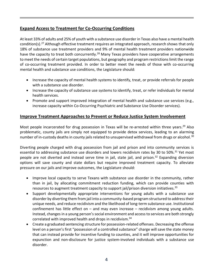## **Expand Access to Treatment for Co-Occurring Conditions**

At least 33% of adults and 25% of youth with a substance use disorder in Texas also have a mental health condition(s).<sup>27</sup> Although effective treatment requires an integrated approach, research shows that only 18% of substance use treatment providers and 9% of mental health treatment providers nationwide have the capacity to treat both concurrently.<sup>28</sup> Many Texas providers have cooperative arrangements to meet the needs of certain target populations, but geography and program restrictions limit the range of co-occurring treatment provided. In order to better meet the needs of those with co-occurring mental health and substance use conditions, the Legislature should:

- Increase the capacity of mental health systems to identify, treat, or provide referrals for people with a substance use disorder.
- Increase the capacity of substance use systems to identify, treat, or refer individuals for mental health services.
- Promote and support improved integration of mental health and substance use services (e.g., increase capacity within Co-Occurring Psychiatric and Substance Use Disorder services).

## **Improve Treatment Approaches to Prevent or Reduce Justice System Involvement**

Most people incarcerated for drug possession in Texas will be re-arrested within three years.<sup>29</sup> Also problematic, county jails are simply not equipped to provide detox services, leading to an alarming number of in-custody deaths in county jails related to unsupervised withdrawal from drugs or alcohol.<sup>30</sup>

Diverting people charged with drug possession from jail and prison and into community services is essential to addressing substance use disorders and lowers recidivism rates by 30 to 50%.<sup>31</sup> Yet most people are not diverted and instead serve time in jail, state jail, and prison.<sup>32</sup> Expanding diversion options will save county and state dollars but require improved treatment capacity. To alleviate pressure on our jails and improve outcomes, the Legislature should:

- Improve local capacity to serve Texans with substance use disorder in the community, rather than in jail, by allocating commitment reduction funding, which can provide counties with resources to augment treatment capacity to support jail/prison diversion initiatives.<sup>33</sup>
- Support developmentally appropriate interventions for young adults with a substance use disorder by diverting them from jail into a community-based program structured to address their unique needs, and reduce recidivism and the likelihood of long-term substance use. Institutional confinement has little effect on – and may even increase – recidivism among young adults. Instead, changes in a young person's social environment and access to services are both strongly correlated with improved health and drops in recidivism.<sup>34</sup>
- Create a graduated sentencing structure for possession-related offenses. Decreasing the offense level on a person's first "possession of a controlled substance" charge will save the state money that can instead provide for incentive funding to counties, and it will improve opportunities for expunction and non-disclosure for justice system-involved individuals with a substance use disorder.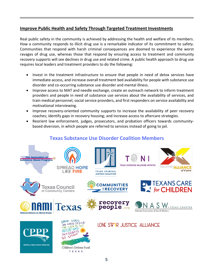## **Improve Public Health and Safety Through Targeted Treatment Investments**

Real public safety in the community is achieved by addressing the health and welfare of its members. How a community responds to illicit drug use is a remarkable indicator of its commitment to safety. Communities that respond with harsh criminal consequences are doomed to experience the worst ravages of drug use, whereas those that respond by ensuring access to treatment and community recovery supports will see declines in drug use and related crime. A public health approach to drug use requires local leaders and treatment providers to do the following:

- Invest in the treatment infrastructure to ensure that people in need of detox services have immediate access, and increase overall treatment bed availability for people with substance use disorder and co-occurring substance use disorder and mental illness.
- Improve access to MAT and needle exchange, create an outreach network to inform treatment providers and people in need of substance use services about the availability of services, and train medical personnel, social service providers, and first responders on service availability and motivational interviewing.
- Improve recovery-oriented community supports to increase the availability of peer recovery coaches; identify gaps in recovery housing; and increase access to aftercare strategies.
- Reorient law enforcement, judges, prosecutors, and probation officers towards communitybased diversion, in which people are referred to services instead of going to jail.

# **Texas Substance Use Disorder Coalition Members**

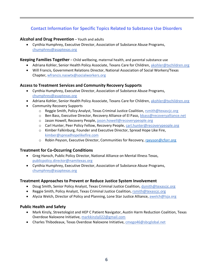# **Contact Information for Specific Topics Related to Substance Use Disorders**

## **Alcohol and Drug Prevention** – Youth and adults

• Cynthia Humphrey, Executive Director, Association of Substance Abuse Programs, [chumphrey@asaptexas.org](mailto:chumphrey@asaptexas.org)

#### **Keeping Families Together** – Child wellbeing, maternal health, and parental substance use

- Adriana Kohler, Senior Health Policy Associate, Texans Care for Children, [akohler@txchildren.org](mailto:akohler@txchildren.org)
- Will Francis, Government Relations Director, National Association of Social Workers/Texas Chapter, [wfrancis.naswtx@socialworkers.org](mailto:wfrancis.naswtx@socialworkers.org)

## **Access to Treatment Services and Community Recovery Supports**

- Cynthia Humphrey, Executive Director, Association of Substance Abuse Programs, [chumphrey@asaptexas.org](mailto:chumphrey@asaptexas.org)
- Adriana Kohler, Senior Health Policy Associate, Texans Care for Children, [akohler@txchildren.org](mailto:akohler@txchildren.org)
- Community Recovery Supports
	- o Reggie Smith, Policy Analyst, Texas Criminal Justice Coalition, [rsmith@texascjc.org](mailto:rsmith@texascjc.org)
	- o Ben Bass, Executive Director, Recovery Alliance of El Paso, [bbass@recoveryalliance.net](mailto:bbass@recoveryalliance.net)
	- o Jason Howell, Recovery People, [jason.howell@recoverypeople.org](mailto:jason.howell@recoverypeople.org)
	- o Carl Hunter, Peer Policy Fellow, Recovery People, [carl.hunter@recoverypeople.org](mailto:carl.hunter@recoverypeople.org)
	- o Kimber Falkinburg, Founder and Executive Director, Spread Hope Like Fire, [kimber@spreadhopelikefire.com](mailto:kimber@spreadhopelikefire.com)
	- o Robin Peyson, Executive Director, Communities for Recovery, [rpeyson@cforr.org](mailto:rpeyson@cforr.org)

## **Treatment for Co-Occurring Conditions**

- Greg Hansch, Public Policy Director, National Alliance on Mental Illness Texas, [publicpolicy.director@namitexas.org](mailto:publicpolicy.director@namitexas.org)
- Cynthia Humphrey, Executive Director, Association of Substance Abuse Programs, [chumphrey@asaptexas.org](mailto:chumphrey@asaptexas.org)

## **Treatment Approaches to Prevent or Reduce Justice System Involvement**

- Doug Smith, Senior Policy Analyst, Texas Criminal Justice Coalition, [dsmith@texascjc.org](mailto:dsmith@texascjc.org)
- Reggie Smith, Policy Analyst, Texas Criminal Justice Coalition, [rsmith@texascjc.org](mailto:rsmith@texascjc.org)
- Alycia Welch, Director of Policy and Planning, Lone Star Justice Alliance, [awelch@lsja.org](mailto:awelch@lsja.org)

## **Public Health and Safety**

- Mark Kinzly, Streetologist and HEP C Patient Navigator, Austin Harm Reduction Coalition, Texas Overdose Naloxone Initiative, [markkinzly022@gmail.com](mailto:markkinzly022@gmail.com)
- Charles Thibodeaux, Texas Overdose Naloxone Initiative, [cmego46@sbcglobal.net](mailto:cmego46@sbcglobal.net)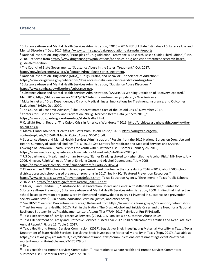#### **Citations**

<sup>1</sup> Substance Abuse and Mental Health Services Administration, "2015 – 2016 NSDUH State Estimates of Substance Use and Mental Disorders," Dec. 2017. [https://www.samhsa.gov/data/population-data-nsduh/reports.](https://www.samhsa.gov/data/population-data-nsduh/reports)

**<sup>2</sup>** National Institute on Drug Abuse, "Principles of Drug Addiction Treatment: A Research-Based Guide (Third Edition)," Jan. 2018, Retrieved from [https://www.drugabuse.gov/publications/principles-drug-addiction-treatment-research-based](https://www.drugabuse.gov/publications/principles-drug-addiction-treatment-research-based-guide-third-edition)[guide-third-edition.](https://www.drugabuse.gov/publications/principles-drug-addiction-treatment-research-based-guide-third-edition)

<sup>3</sup> The Council of State Governments, "Substance Abuse in the States: Treatment," Oct. 2017,

[http://knowledgecenter.csg.org/kc/content/drug-abuse-states-treatment.](http://knowledgecenter.csg.org/kc/content/drug-abuse-states-treatment)

<sup>4</sup> National Institute on Drug Abuse (NIDA), "Drugs, Brains, and Behavior: The Science of Addiction,"

[https://www.drugabuse.gov/publications/drugs-brains-behavior-science-addiction/drugs-brain.](https://www.drugabuse.gov/publications/drugs-brains-behavior-science-addiction/drugs-brain) 

<sup>5</sup> Substance Abuse and Mental Health Services Administration, "Substance Abuse Disorders,"

[https://www.samhsa.gov/disorders/substance-use.](https://www.samhsa.gov/disorders/substance-use)

<sup>6</sup> Substance Abuse and Mental Health Services Administration, "SAMHSA's Working Definition of Recovery Updated," Mar. 2012, [https://blog.samhsa.gov/2012/03/23/defintion-of-recovery-updated/#.Wvx7u4gvzcs.](https://blog.samhsa.gov/2012/03/23/defintion-of-recovery-updated/#.Wvx7u4gvzcs)

<sup>7</sup> McLellen, et al., "Drug Dependence, a Chronic Medical Illness: Implications for Treatment, Insurance, and Outcomes Evaluation," JAMA. Oct. 2000.

<sup>8</sup> The Council of Economic Advisors, "The Underestimated Cost of the Opioid Crisis," November 2017.

<sup>9</sup> Centers for Disease Control and Prevention, "Drug Overdose Death Data (2015 to 2016),"

[https://www.cdc.gov/drugoverdose/data/statedeaths.html.](https://www.cdc.gov/drugoverdose/data/statedeaths.html) 

<sup>10</sup> Castlight Health Report, "The Opioid Crisis in America's Workforce," 2016, [http://archive.castlighthealth.com/typ/the](http://archive.castlighthealth.com/typ/the-opioid-crisis/)[opioid-crisis/.](http://archive.castlighthealth.com/typ/the-opioid-crisis/) 

<sup>11</sup> Matrix Global Advisors, "Health Care Costs from Opioid Abuse," 2015, [https://drugfree.org/wp](https://drugfree.org/wp-content/uploads/2015/04/Matrix_OpioidAbuse_040415.pdf)[content/uploads/2015/04/Matrix\\_OpioidAbuse\\_040415.pdf.](https://drugfree.org/wp-content/uploads/2015/04/Matrix_OpioidAbuse_040415.pdf) 

<sup>12</sup> Substance Abuse and Mental Health Services Administration, "Results from the 2012 National Survey on Drug Use and Health: Summary of National Findings," p. 6 (2013). *See* Centers for Medicare and Medicaid Services and SAMHSA, Coverage of Behavioral Health Services for Youth with Substance Use Disorders, January 26, 2015,

[https://www.medicaid.gov/federal-policy-guidance/downloads/cib-01-26-2015.pdf.](https://www.medicaid.gov/federal-policy-guidance/downloads/cib-01-26-2015.pdf) 

<sup>13</sup> US Department of Health and Human Services, "Earlier Drinking Linked to Higher Lifetime Alcohol Risk," NIH News, July 2006. Hingson, Ralph W., et al, "Age at Drinking Onset and Alcohol Dependence," July 2006,

[https://jamanetwork.com/journals/jamapediatrics/fullarticle/205204.](https://jamanetwork.com/journals/jamapediatrics/fullarticle/205204)

<sup>14</sup> Of more than 1,200 school districts and open enrollment charters in the state during 2016 – 2017, about 500 school districts accessed school-based prevention programs in 2017. See HHSC, "Featured Prevention Resources,"

<https://www.dshs.texas.gov/sa/Prevention/default.shtm>. Texas Education Agency, "Enrollment in Texas Public Schools 2016-2017, [https://tea.texas.gov/acctres/enroll\\_2016-17.pdf.](https://tea.texas.gov/acctres/enroll_2016-17.pdf)

<sup>15</sup> Miller, T. and Hendrie, D., "Substance Abuse Prevention Dollars and Cents: A Cost-Benefit Analysis," Center for Substance Abuse Prevention, Substance Abuse and Mental Health Services Administration, 2008 (finding that if effective school-based prevention programs were implemented nationwide, for every \$1 invested in substance use prevention, society would save \$13 in health, education, criminal justice, and other costs).

<sup>16</sup> See HHSC, "Featured Prevention Resources," Retrieved from [https://www.dshs.texas.gov/sa/Prevention/default.shtm.](https://www.dshs.texas.gov/sa/Prevention/default.shtm)  <sup>17</sup> Trust for America's Health. (2017). Pain in the Nation: The Drug, Alcohol and Suicide Crises and the Need for a National Resilience Strategy. [http://healthyamericans.org/assets/files/TFAH-2017-PainNationRpt-FINAL.pdf.](http://healthyamericans.org/assets/files/TFAH-2017-PainNationRpt-FINAL.pdf) 

<sup>18</sup> Texas Department of Family Protective Services. (2015). CPS Families with Substance Abuse Issues.

<sup>19</sup> Texas Department of Family and Protective Services. "Fiscal Year 2017 Child Maltreatment Fatalities and Near Fatalities Annual Report," Figure 11, Table 5, 2017.

<sup>20</sup> Texas Health and Human Services Commission. (2017). Legislative Brief: Investigating Maternal Mortality in Texas. Texas Department of State Health Services. Legislative Brief: Investigating Maternal Mortality in Texas (Sept. 2017). Available at [https://hhs.texas.gov/sites/default/files//documents/abouthhs/communications-events/meetings-events/maternal](https://hhs.texas.gov/sites/default/files/documents/abouthhs/communications-events/meetings-events/maternal-mortality-morbidity/m3tf-agenda7-170929.pdf)[mortality-morbidity/m3tf-agenda7-170929.pdf.](https://hhs.texas.gov/sites/default/files/documents/abouthhs/communications-events/meetings-events/maternal-mortality-morbidity/m3tf-agenda7-170929.pdf) 

 $21$  Ibid.

<sup>22</sup> Texas Health and Human Services Commission, "Presentation to Senate Health and Human Services Committee: Substance Use Disorder in Texas," (Mar. 22, 2018).